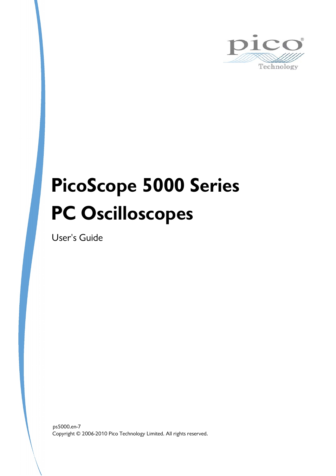

# **PicoScope 5000 Series PC Oscilloscopes**

User's Guide

Copyright © 2006-2010 Pico Technology Limited. All rights reserved. ps5000.en-7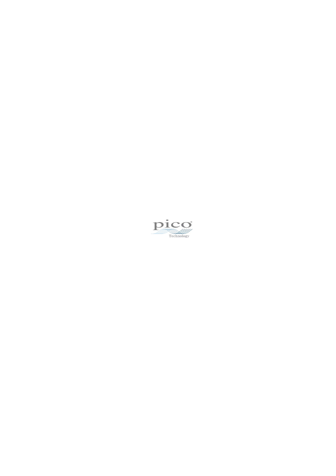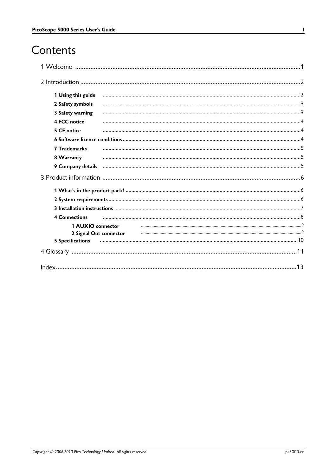# Contents

| 1 Using this guide      |  |  |                                                                                                                |
|-------------------------|--|--|----------------------------------------------------------------------------------------------------------------|
| 2 Safety symbols        |  |  |                                                                                                                |
| 3 Safety warning        |  |  |                                                                                                                |
| <b>4 FCC notice</b>     |  |  |                                                                                                                |
| 5 CE notice             |  |  |                                                                                                                |
|                         |  |  |                                                                                                                |
| <b>7 Trademarks</b>     |  |  |                                                                                                                |
| 8 Warranty              |  |  |                                                                                                                |
|                         |  |  | 9 Company details manufactured and account of the material company details manufactured and account of the set |
|                         |  |  |                                                                                                                |
|                         |  |  |                                                                                                                |
|                         |  |  |                                                                                                                |
|                         |  |  |                                                                                                                |
| <b>4 Connections</b>    |  |  |                                                                                                                |
| 1 AUXIO connector       |  |  |                                                                                                                |
| 2 Signal Out connector  |  |  |                                                                                                                |
| <b>5 Specifications</b> |  |  |                                                                                                                |
|                         |  |  |                                                                                                                |
|                         |  |  |                                                                                                                |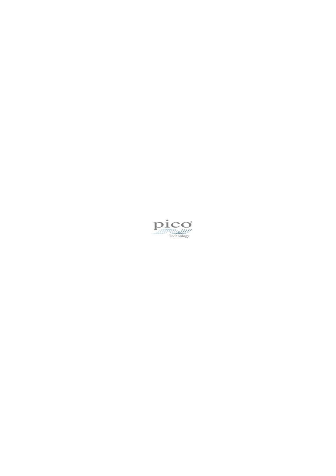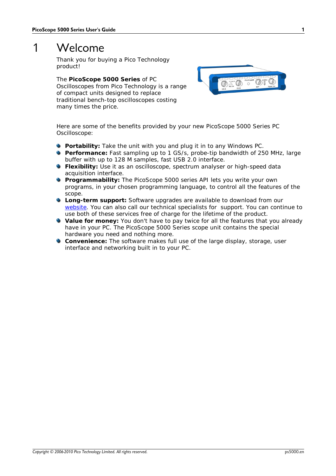# <span id="page-4-0"></span>1 Welcome

Thank you for buying a Pico Technology product!

The **PicoScope 5000 Series** of PC Oscilloscopes from Pico Technology is a range of compact units designed to replace traditional bench-top oscilloscopes costing many times the price.



Here are some of the benefits provided by your new PicoScope 5000 Series PC Oscilloscope:

- **Portability:** Take the unit with you and plug it in to any Windows PC.
- **Performance:** Fast sampling up to 1 GS/s, probe-tip bandwidth of 250 MHz, large buffer with up to 128 M samples, fast USB 2.0 interface.
- **Flexibility:** Use it as an oscilloscope, spectrum analyser or high-speed data acquisition interface.
- **Programmability:** The PicoScope 5000 series API lets you write your own programs, in your chosen programming language, to control all the features of the scope.
- **Long-term support:** Software upgrades are available to download from our [website](http://www.picotech.com). You can also call our technical specialists for support. You can continue to use both of these services free of charge for the lifetime of the product.
- **Value for money:** You don't have to pay twice for all the features that you already have in your PC. The PicoScope 5000 Series scope unit contains the special hardware you need and nothing more.
- **Convenience:** The software makes full use of the large display, storage, user interface and networking built in to your PC.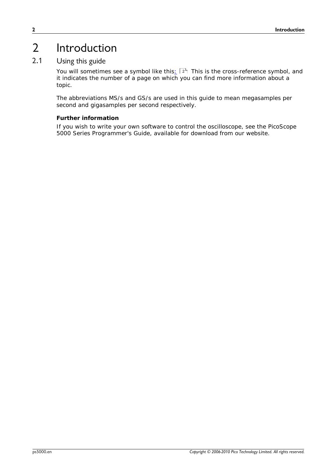# <span id="page-5-0"></span>2 Introduction

### 2.1 Using this guide

You will sometimes see a symbol like this $\pm$   $|z^{\mathfrak{h}}|$  This is the cross-reference symbol, and it indicates the number of a page on which you can find more information about a topic.

The abbreviations MS/s and GS/s are used in this guide to mean megasamples per second and gigasamples per second respectively.

#### **Further information**

If you wish to write your own software to control the oscilloscope, see the *PicoScope 5000 Series Programmer's Guide*, available for download from our website.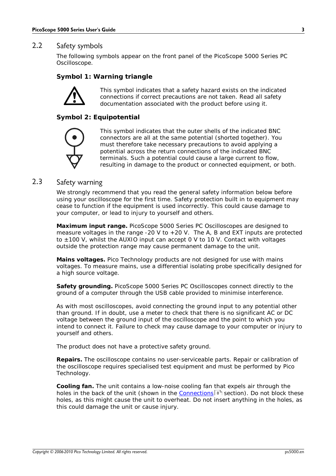#### <span id="page-6-0"></span>2.2 Safety symbols

The following symbols appear on the front panel of the PicoScope 5000 Series PC Oscilloscope.

#### **Symbol 1: Warning triangle**

This symbol indicates that a safety hazard exists on the indicated connections if correct precautions are not taken. Read all safety documentation associated with the product before using it.

#### **Symbol 2: Equipotential**



This symbol indicates that the outer shells of the indicated BNC connectors are all at the same potential (shorted together). You must therefore take necessary precautions to avoid applying a potential across the return connections of the indicated BNC terminals. Such a potential could cause a large current to flow, resulting in damage to the product or connected equipment, or both.

#### <span id="page-6-1"></span>2.3 Safety warning

We strongly recommend that you read the general safety information below before using your oscilloscope for the first time. Safety protection built in to equipment may cease to function if the equipment is used incorrectly. This could cause damage to your computer, or lead to injury to yourself and others.

**Maximum input range.** PicoScope 5000 Series PC Oscilloscopes are designed to measure voltages in the range -20 V to +20 V. The A, B and EXT inputs are protected to  $\pm$ 100 V, whilst the AUXIO input can accept 0 V to 10 V. Contact with voltages outside the protection range may cause permanent damage to the unit.

**Mains voltages.** Pico Technology products are not designed for use with mains voltages. To measure mains, use a differential isolating probe specifically designed for a high source voltage.

**Safety grounding.** PicoScope 5000 Series PC Oscilloscopes connect directly to the ground of a computer through the USB cable provided to minimise interference.

As with most oscilloscopes, avoid connecting the ground input to any potential other than ground. If in doubt, use a meter to check that there is no significant AC or DC voltage between the ground input of the oscilloscope and the point to which you intend to connect it. Failure to check may cause damage to your computer or injury to yourself and others.

The product does not have a protective safety ground.

**Repairs.** The oscilloscope contains no user-serviceable parts. Repair or calibration of the oscilloscope requires specialised test equipment and must be performed by Pico Technology.

**Cooling fan.** The unit contains a low-noise cooling fan that expels air through the holes in the back of the unit (shown in the <u>Connections</u>| 8 ी section). Do not block these holes, as this might cause the unit to overheat. Do not insert anything in the holes, as this could damage the unit or cause injury.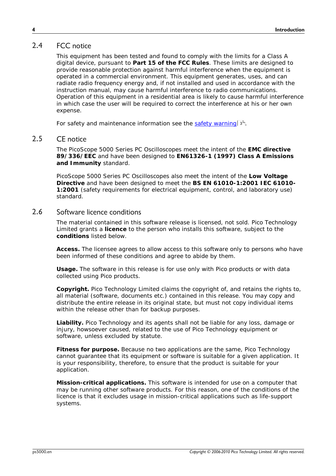#### <span id="page-7-0"></span>2.4 FCC notice

This equipment has been tested and found to comply with the limits for a Class A digital device, pursuant to **Part 15 of the FCC Rules**. These limits are designed to provide reasonable protection against harmful interference when the equipment is operated in a commercial environment. This equipment generates, uses, and can radiate radio frequency energy and, if not installed and used in accordance with the instruction manual, may cause harmful interference to radio communications. Operation of this equipment in a residential area is likely to cause harmful interference in which case the user will be required to correct the interference at his or her own expense.

For safety and maintenance information see the [safety warning](#page-6-1) 3<sup>4</sup>.

#### <span id="page-7-1"></span>2.5 CE notice

The PicoScope 5000 Series PC Oscilloscopes meet the intent of the **EMC directive 89/336/EEC** and have been designed to **EN61326-1 (1997) Class A Emissions and Immunity** standard.

PicoScope 5000 Series PC Oscilloscopes also meet the intent of the **Low Voltage Directive** and have been designed to meet the **BS EN 61010-1:2001 IEC 61010- 1:2001** (safety requirements for electrical equipment, control, and laboratory use) standard.

#### <span id="page-7-2"></span>2.6 Software licence conditions

The material contained in this software release is licensed, not sold. Pico Technology Limited grants a **licence** to the person who installs this software, subject to the **conditions** listed below.

**Access.** The licensee agrees to allow access to this software only to persons who have been informed of these conditions and agree to abide by them.

**Usage.** The software in this release is for use only with Pico products or with data collected using Pico products.

**Copyright.** Pico Technology Limited claims the copyright of, and retains the rights to, all material (software, documents etc.) contained in this release. You may copy and distribute the entire release in its original state, but must not copy individual items within the release other than for backup purposes.

**Liability.** Pico Technology and its agents shall not be liable for any loss, damage or injury, howsoever caused, related to the use of Pico Technology equipment or software, unless excluded by statute.

**Fitness for purpose.** Because no two applications are the same, Pico Technology cannot guarantee that its equipment or software is suitable for a given application. It is your responsibility, therefore, to ensure that the product is suitable for your application.

**Mission-critical applications.** This software is intended for use on a computer that may be running other software products. For this reason, one of the conditions of the licence is that it excludes usage in mission-critical applications such as life-support systems.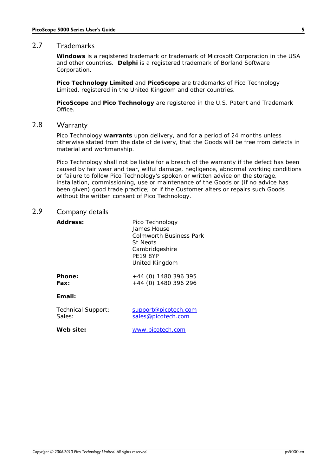#### <span id="page-8-0"></span>2.7 Trademarks

**Windows** is a registered trademark or trademark of Microsoft Corporation in the USA and other countries. **Delphi** is a registered trademark of Borland Software Corporation.

**Pico Technology Limited** and **PicoScope** are trademarks of Pico Technology Limited, registered in the United Kingdom and other countries.

**PicoScope** and **Pico Technology** are registered in the U.S. Patent and Trademark Office.

#### <span id="page-8-1"></span>2.8 Warranty

Pico Technology **warrants** upon delivery, and for a period of 24 months unless otherwise stated from the date of delivery, that the Goods will be free from defects in material and workmanship.

Pico Technology shall not be liable for a breach of the warranty if the defect has been caused by fair wear and tear, wilful damage, negligence, abnormal working conditions or failure to follow Pico Technology's spoken or written advice on the storage, installation, commissioning, use or maintenance of the Goods or (if no advice has been given) good trade practice; or if the Customer alters or repairs such Goods without the written consent of Pico Technology.

#### <span id="page-8-2"></span>2.9 Company details

| Address:                     | Pico Technology<br>James House<br>Colmworth Business Park<br><b>St Neots</b><br>Cambridgeshire<br>PF <sub>19</sub> 8YP<br>United Kingdom |
|------------------------------|------------------------------------------------------------------------------------------------------------------------------------------|
| Phone:<br>Fax:               | $+44$ (0) 1480 396 395<br>+44 (0) 1480 396 296                                                                                           |
| Fmail:                       |                                                                                                                                          |
| Technical Support:<br>Sales: | <u>support@picotech.com</u><br>sales@picotech.com                                                                                        |
| Web site:                    | www.picotech.com                                                                                                                         |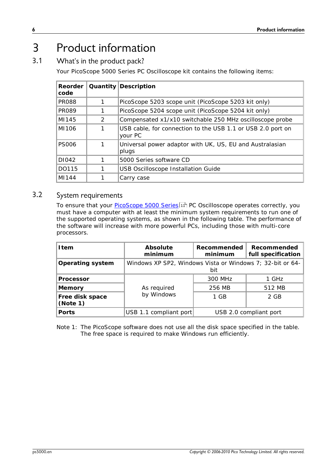# <span id="page-9-0"></span>3 Product information

#### 3.1 What's in the product pack?

Your PicoScope 5000 Series PC Oscilloscope kit contains the following items:

| Reorder<br>code |   | Quantity Description                                                   |  |
|-----------------|---|------------------------------------------------------------------------|--|
| <b>PR088</b>    |   | PicoScope 5203 scope unit (PicoScope 5203 kit only)                    |  |
| <b>PR089</b>    |   | PicoScope 5204 scope unit (PicoScope 5204 kit only)                    |  |
| MI145           | 2 | Compensated x1/x10 switchable 250 MHz oscilloscope probe               |  |
| MI106           |   | USB cable, for connection to the USB 1.1 or USB 2.0 port on<br>vour PC |  |
| <b>PS006</b>    |   | Universal power adaptor with UK, US, EU and Australasian<br>plugs      |  |
| DI042           |   | 5000 Series software CD                                                |  |
| DO115           |   | <b>USB Oscilloscope Installation Guide</b>                             |  |
| MI144           |   | Carry case                                                             |  |

#### <span id="page-9-1"></span>3.2 System requirements

To ensure that your <u>[PicoScope 5000 Series](#page-14-1)</u> | 1 PC Oscilloscope operates correctly, you must have a computer with at least the minimum system requirements to run one of the supported operating systems, as shown in the following table. The performance of the software will increase with more powerful PCs, including those with multi-core processors.

| I tem                       | Absolute<br>minimum                                              | Recommended<br>minimum | Recommended<br>full specification |
|-----------------------------|------------------------------------------------------------------|------------------------|-----------------------------------|
| Operating system            | Windows XP SP2, Windows Vista or Windows 7; 32-bit or 64-<br>bit |                        |                                   |
| Processor                   | As required                                                      | 300 MHz                | 1 GHz                             |
| Memory                      |                                                                  | 256 MB                 | 512 MB                            |
| Free disk space<br>(Note 1) | by Windows                                                       | 1 GB                   | 2 GB                              |
| Ports                       | USB 1.1 compliant port                                           |                        | USB 2.0 compliant port            |

Note 1: The PicoScope software does not use all the disk space specified in the table. The free space is required to make Windows run efficiently.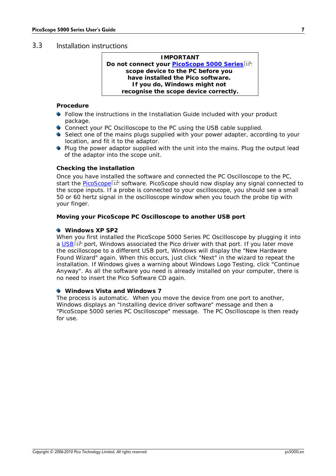#### <span id="page-10-0"></span>3.3 Installation instructions

| <b>IMPORTANT</b>                                               |
|----------------------------------------------------------------|
| Do not connect your <b>PicoScope 5000 Series</b> <sup>11</sup> |
| scope device to the PC before you                              |
| have installed the Pico software.                              |
| If you do, Windows might not                                   |
| recognise the scope device correctly.                          |

**Procedure**

- Follow the instructions in the Installation Guide included with your product package.
- Connect your PC Oscilloscope to the PC using the USB cable supplied.
- Select one of the mains plugs supplied with your power adapter, according to your location, and fit it to the adaptor.
- **•** Plug the power adaptor supplied with the unit into the mains. Plug the output lead of the adaptor into the scope unit.

#### **Checking the installation**

Once you have installed the software and connected the PC Oscilloscope to the PC, start the <u>[PicoScope](#page-14-2)</u> | 1 <sup>A</sup> software. PicoScope should now display any signal connected to the scope inputs. If a probe is connected to your oscilloscope, you should see a small 50 or 60 hertz signal in the oscilloscope window when you touch the probe tip with your finger.

**Moving your PicoScope PC Oscilloscope to another USB port**

#### **Windows XP SP2**

When you first installed the PicoScope 5000 Series PC Oscilloscope by plugging it into a <u>[USB](#page-15-0)</u>|12 port, Windows associated the Pico driver with that port. If you later move the oscilloscope to a different USB port, Windows will display the "New Hardware Found Wizard" again. When this occurs, just click "Next" in the wizard to repeat the installation. If Windows gives a warning about Windows Logo Testing, click "Continue Anyway". As all the software you need is already installed on your computer, there is no need to insert the Pico Software CD again.

**Windows Vista and Windows 7**

The process is automatic. When you move the device from one port to another, Windows displays an "Installing device driver software" message and then a "PicoScope 5000 series PC Oscilloscope" message. The PC Oscilloscope is then ready for use.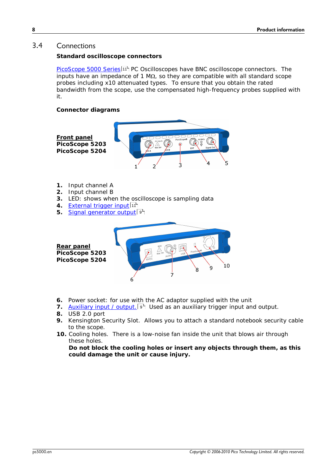#### <span id="page-11-0"></span>3.4 Connections

**Standard oscilloscope connectors**

[PicoScope 5000 Series](#page-14-1) 4 <sup>1</sup> PC Oscilloscopes have BNC oscilloscope connectors. The inputs have an impedance of 1 M $\Omega$ , so they are compatible with all standard scope probes including x10 attenuated types. To ensure that you obtain the rated bandwidth from the scope, use the compensated high-frequency probes supplied with it.

**Connector diagrams**





- **6.** Power socket: for use with the AC adaptor supplied with the unit
- 7. [Auxiliary input / output.](#page-12-0)<sup>[9]</sup> Used as an auxiliary trigger input and output.
- **8.** USB 2.0 port
- **9.** Kensington Security Slot. Allows you to attach a standard notebook security cable to the scope.
- **10.** Cooling holes. There is a low-noise fan inside the unit that blows air through these holes.

**Do not block the cooling holes or insert any objects through them, as this could damage the unit or cause injury.**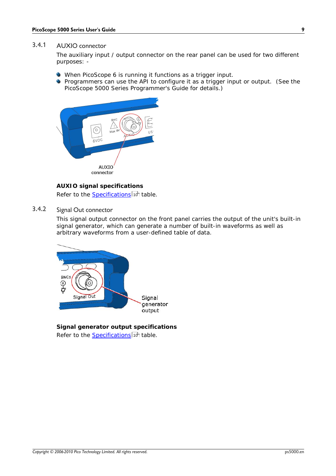#### <span id="page-12-0"></span>3.4.1 AUXIO connector

The auxiliary input / output connector on the rear panel can be used for two different purposes: -

- When PicoScope 6 is running it functions as a trigger input.
- **Programmers can use the API to configure it as a trigger input or output.** (See the *PicoScope 5000 Series Programmer's Guide* for details.)



**AUXIO signal specifications** Refer to the <u>Specifications</u> i thable.

#### <span id="page-12-1"></span>3.4.2 Signal Out connector

This signal output connector on the front panel carries the output of the unit's built-in signal generator, which can generate a number of built-in waveforms as well as arbitrary waveforms from a user-defined table of data.



**Signal generator output specifications** Refer to the <u>Specifications</u>।10ी table.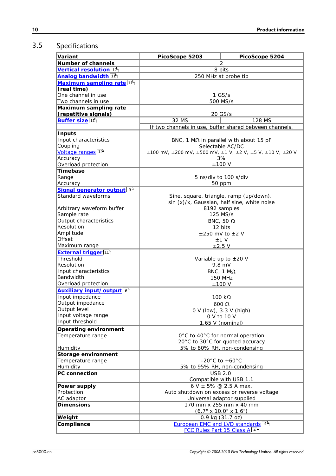### <span id="page-13-0"></span>3.5 Specifications

| Number of channels<br>2<br>8 bits<br>250 MHz at probe tip<br>$1$ GS/s<br>500 MS/s<br>Maximum sampling rate<br>(repetitive signals)<br>20 GS/s<br>Buffer size <sup>11</sup><br>32 MS<br>128 MS<br>If two channels in use, buffer shared between channels.<br>BNC, 1 M $\Omega$ in parallel with about 15 pF<br>Selectable AC/DC<br>$\pm 100$ mV, $\pm 200$ mV, $\pm 500$ mV, $\pm 1$ V, $\pm 2$ V, $\pm 5$ V, $\pm 10$ V, $\pm 20$ V<br>3%<br>$±100$ V<br>5 ns/div to 100 s/div<br>50 ppm<br>Signal generator output <sup>9</sup><br>Standard waveforms<br>Sine, square, triangle, ramp (up/down),<br>sin (x)/x, Gaussian, half sine, white noise<br>Arbitrary waveform buffer<br>8192 samples<br>Sample rate<br>125 MS/s<br>Output characteristics<br>BNC, 50 $\Omega$<br>Resolution<br>12 bits<br>Amplitude<br>$\pm$ 250 mV to $\pm$ 2 V<br>Offset<br>$±1$ V<br>Maximum range<br>$\pm 2.5$ V<br>External trigger <sup>11</sup><br>Threshold<br>Variable up to $\pm 20$ V<br>Resolution<br>$9.8$ mV<br>Input characteristics<br>BNC, 1 $M\Omega$<br>Bandwidth<br><b>150 MHz</b><br>Overload protection<br>$±100$ V<br>Auxiliary input/output <sup>9</sup><br>Input impedance<br>100 k $\Omega$<br>Output impedance<br>$600 \Omega$<br>Output level<br>0 V (low), 3.3 V (high)<br>Input voltage range<br>0 V to 10 V<br>Input threshold<br>1.65 V (nominal)<br>0°C to 40°C for normal operation<br>20°C to 30°C for quoted accuracy<br>5% to 80% RH, non-condensing<br>-20 $^{\circ}$ C to +60 $^{\circ}$ C<br>5% to 95% RH, non-condensing<br><b>USB 2.0</b><br>Compatible with USB 1.1<br>6 V $\pm$ 5% @ 2.5 A max.<br>Power supply<br>Auto shutdown on excess or reverse voltage<br>AC adaptor<br>Universal adaptor supplied<br>Dimensions<br>170 mm x 255 mm x 40 mm<br>$(6.7" \times 10.0" \times 1.6")$<br>0.9 kg (31.7 oz)<br>Weight<br>European EMC and LVD standards 4<br>Compliance<br>FCC Rules Part 15 Class A 4 | Variant                               | PicoScope 5203 | PicoScope 5204 |  |
|-----------------------------------------------------------------------------------------------------------------------------------------------------------------------------------------------------------------------------------------------------------------------------------------------------------------------------------------------------------------------------------------------------------------------------------------------------------------------------------------------------------------------------------------------------------------------------------------------------------------------------------------------------------------------------------------------------------------------------------------------------------------------------------------------------------------------------------------------------------------------------------------------------------------------------------------------------------------------------------------------------------------------------------------------------------------------------------------------------------------------------------------------------------------------------------------------------------------------------------------------------------------------------------------------------------------------------------------------------------------------------------------------------------------------------------------------------------------------------------------------------------------------------------------------------------------------------------------------------------------------------------------------------------------------------------------------------------------------------------------------------------------------------------------------------------------------------------------------------------------------------------------------------------------------------|---------------------------------------|----------------|----------------|--|
|                                                                                                                                                                                                                                                                                                                                                                                                                                                                                                                                                                                                                                                                                                                                                                                                                                                                                                                                                                                                                                                                                                                                                                                                                                                                                                                                                                                                                                                                                                                                                                                                                                                                                                                                                                                                                                                                                                                             |                                       |                |                |  |
|                                                                                                                                                                                                                                                                                                                                                                                                                                                                                                                                                                                                                                                                                                                                                                                                                                                                                                                                                                                                                                                                                                                                                                                                                                                                                                                                                                                                                                                                                                                                                                                                                                                                                                                                                                                                                                                                                                                             | Vertical resolution <sup>12</sup>     |                |                |  |
|                                                                                                                                                                                                                                                                                                                                                                                                                                                                                                                                                                                                                                                                                                                                                                                                                                                                                                                                                                                                                                                                                                                                                                                                                                                                                                                                                                                                                                                                                                                                                                                                                                                                                                                                                                                                                                                                                                                             | Analog bandwidth 11                   |                |                |  |
|                                                                                                                                                                                                                                                                                                                                                                                                                                                                                                                                                                                                                                                                                                                                                                                                                                                                                                                                                                                                                                                                                                                                                                                                                                                                                                                                                                                                                                                                                                                                                                                                                                                                                                                                                                                                                                                                                                                             | Maximum sampling rate <sup>[11]</sup> |                |                |  |
|                                                                                                                                                                                                                                                                                                                                                                                                                                                                                                                                                                                                                                                                                                                                                                                                                                                                                                                                                                                                                                                                                                                                                                                                                                                                                                                                                                                                                                                                                                                                                                                                                                                                                                                                                                                                                                                                                                                             | (real time)                           |                |                |  |
|                                                                                                                                                                                                                                                                                                                                                                                                                                                                                                                                                                                                                                                                                                                                                                                                                                                                                                                                                                                                                                                                                                                                                                                                                                                                                                                                                                                                                                                                                                                                                                                                                                                                                                                                                                                                                                                                                                                             | One channel in use                    |                |                |  |
|                                                                                                                                                                                                                                                                                                                                                                                                                                                                                                                                                                                                                                                                                                                                                                                                                                                                                                                                                                                                                                                                                                                                                                                                                                                                                                                                                                                                                                                                                                                                                                                                                                                                                                                                                                                                                                                                                                                             | Two channels in use                   |                |                |  |
|                                                                                                                                                                                                                                                                                                                                                                                                                                                                                                                                                                                                                                                                                                                                                                                                                                                                                                                                                                                                                                                                                                                                                                                                                                                                                                                                                                                                                                                                                                                                                                                                                                                                                                                                                                                                                                                                                                                             |                                       |                |                |  |
|                                                                                                                                                                                                                                                                                                                                                                                                                                                                                                                                                                                                                                                                                                                                                                                                                                                                                                                                                                                                                                                                                                                                                                                                                                                                                                                                                                                                                                                                                                                                                                                                                                                                                                                                                                                                                                                                                                                             |                                       |                |                |  |
|                                                                                                                                                                                                                                                                                                                                                                                                                                                                                                                                                                                                                                                                                                                                                                                                                                                                                                                                                                                                                                                                                                                                                                                                                                                                                                                                                                                                                                                                                                                                                                                                                                                                                                                                                                                                                                                                                                                             |                                       |                |                |  |
|                                                                                                                                                                                                                                                                                                                                                                                                                                                                                                                                                                                                                                                                                                                                                                                                                                                                                                                                                                                                                                                                                                                                                                                                                                                                                                                                                                                                                                                                                                                                                                                                                                                                                                                                                                                                                                                                                                                             |                                       |                |                |  |
|                                                                                                                                                                                                                                                                                                                                                                                                                                                                                                                                                                                                                                                                                                                                                                                                                                                                                                                                                                                                                                                                                                                                                                                                                                                                                                                                                                                                                                                                                                                                                                                                                                                                                                                                                                                                                                                                                                                             | Inputs                                |                |                |  |
|                                                                                                                                                                                                                                                                                                                                                                                                                                                                                                                                                                                                                                                                                                                                                                                                                                                                                                                                                                                                                                                                                                                                                                                                                                                                                                                                                                                                                                                                                                                                                                                                                                                                                                                                                                                                                                                                                                                             | Input characteristics                 |                |                |  |
|                                                                                                                                                                                                                                                                                                                                                                                                                                                                                                                                                                                                                                                                                                                                                                                                                                                                                                                                                                                                                                                                                                                                                                                                                                                                                                                                                                                                                                                                                                                                                                                                                                                                                                                                                                                                                                                                                                                             | Coupling                              |                |                |  |
|                                                                                                                                                                                                                                                                                                                                                                                                                                                                                                                                                                                                                                                                                                                                                                                                                                                                                                                                                                                                                                                                                                                                                                                                                                                                                                                                                                                                                                                                                                                                                                                                                                                                                                                                                                                                                                                                                                                             | Voltage ranges <sup>12</sup>          |                |                |  |
|                                                                                                                                                                                                                                                                                                                                                                                                                                                                                                                                                                                                                                                                                                                                                                                                                                                                                                                                                                                                                                                                                                                                                                                                                                                                                                                                                                                                                                                                                                                                                                                                                                                                                                                                                                                                                                                                                                                             | Accuracy                              |                |                |  |
|                                                                                                                                                                                                                                                                                                                                                                                                                                                                                                                                                                                                                                                                                                                                                                                                                                                                                                                                                                                                                                                                                                                                                                                                                                                                                                                                                                                                                                                                                                                                                                                                                                                                                                                                                                                                                                                                                                                             | Overload protection                   |                |                |  |
|                                                                                                                                                                                                                                                                                                                                                                                                                                                                                                                                                                                                                                                                                                                                                                                                                                                                                                                                                                                                                                                                                                                                                                                                                                                                                                                                                                                                                                                                                                                                                                                                                                                                                                                                                                                                                                                                                                                             | Timebase                              |                |                |  |
|                                                                                                                                                                                                                                                                                                                                                                                                                                                                                                                                                                                                                                                                                                                                                                                                                                                                                                                                                                                                                                                                                                                                                                                                                                                                                                                                                                                                                                                                                                                                                                                                                                                                                                                                                                                                                                                                                                                             | Range                                 |                |                |  |
|                                                                                                                                                                                                                                                                                                                                                                                                                                                                                                                                                                                                                                                                                                                                                                                                                                                                                                                                                                                                                                                                                                                                                                                                                                                                                                                                                                                                                                                                                                                                                                                                                                                                                                                                                                                                                                                                                                                             | Accuracy                              |                |                |  |
|                                                                                                                                                                                                                                                                                                                                                                                                                                                                                                                                                                                                                                                                                                                                                                                                                                                                                                                                                                                                                                                                                                                                                                                                                                                                                                                                                                                                                                                                                                                                                                                                                                                                                                                                                                                                                                                                                                                             |                                       |                |                |  |
|                                                                                                                                                                                                                                                                                                                                                                                                                                                                                                                                                                                                                                                                                                                                                                                                                                                                                                                                                                                                                                                                                                                                                                                                                                                                                                                                                                                                                                                                                                                                                                                                                                                                                                                                                                                                                                                                                                                             |                                       |                |                |  |
|                                                                                                                                                                                                                                                                                                                                                                                                                                                                                                                                                                                                                                                                                                                                                                                                                                                                                                                                                                                                                                                                                                                                                                                                                                                                                                                                                                                                                                                                                                                                                                                                                                                                                                                                                                                                                                                                                                                             |                                       |                |                |  |
|                                                                                                                                                                                                                                                                                                                                                                                                                                                                                                                                                                                                                                                                                                                                                                                                                                                                                                                                                                                                                                                                                                                                                                                                                                                                                                                                                                                                                                                                                                                                                                                                                                                                                                                                                                                                                                                                                                                             |                                       |                |                |  |
|                                                                                                                                                                                                                                                                                                                                                                                                                                                                                                                                                                                                                                                                                                                                                                                                                                                                                                                                                                                                                                                                                                                                                                                                                                                                                                                                                                                                                                                                                                                                                                                                                                                                                                                                                                                                                                                                                                                             |                                       |                |                |  |
|                                                                                                                                                                                                                                                                                                                                                                                                                                                                                                                                                                                                                                                                                                                                                                                                                                                                                                                                                                                                                                                                                                                                                                                                                                                                                                                                                                                                                                                                                                                                                                                                                                                                                                                                                                                                                                                                                                                             |                                       |                |                |  |
|                                                                                                                                                                                                                                                                                                                                                                                                                                                                                                                                                                                                                                                                                                                                                                                                                                                                                                                                                                                                                                                                                                                                                                                                                                                                                                                                                                                                                                                                                                                                                                                                                                                                                                                                                                                                                                                                                                                             |                                       |                |                |  |
|                                                                                                                                                                                                                                                                                                                                                                                                                                                                                                                                                                                                                                                                                                                                                                                                                                                                                                                                                                                                                                                                                                                                                                                                                                                                                                                                                                                                                                                                                                                                                                                                                                                                                                                                                                                                                                                                                                                             |                                       |                |                |  |
|                                                                                                                                                                                                                                                                                                                                                                                                                                                                                                                                                                                                                                                                                                                                                                                                                                                                                                                                                                                                                                                                                                                                                                                                                                                                                                                                                                                                                                                                                                                                                                                                                                                                                                                                                                                                                                                                                                                             |                                       |                |                |  |
|                                                                                                                                                                                                                                                                                                                                                                                                                                                                                                                                                                                                                                                                                                                                                                                                                                                                                                                                                                                                                                                                                                                                                                                                                                                                                                                                                                                                                                                                                                                                                                                                                                                                                                                                                                                                                                                                                                                             |                                       |                |                |  |
|                                                                                                                                                                                                                                                                                                                                                                                                                                                                                                                                                                                                                                                                                                                                                                                                                                                                                                                                                                                                                                                                                                                                                                                                                                                                                                                                                                                                                                                                                                                                                                                                                                                                                                                                                                                                                                                                                                                             |                                       |                |                |  |
|                                                                                                                                                                                                                                                                                                                                                                                                                                                                                                                                                                                                                                                                                                                                                                                                                                                                                                                                                                                                                                                                                                                                                                                                                                                                                                                                                                                                                                                                                                                                                                                                                                                                                                                                                                                                                                                                                                                             |                                       |                |                |  |
|                                                                                                                                                                                                                                                                                                                                                                                                                                                                                                                                                                                                                                                                                                                                                                                                                                                                                                                                                                                                                                                                                                                                                                                                                                                                                                                                                                                                                                                                                                                                                                                                                                                                                                                                                                                                                                                                                                                             |                                       |                |                |  |
|                                                                                                                                                                                                                                                                                                                                                                                                                                                                                                                                                                                                                                                                                                                                                                                                                                                                                                                                                                                                                                                                                                                                                                                                                                                                                                                                                                                                                                                                                                                                                                                                                                                                                                                                                                                                                                                                                                                             |                                       |                |                |  |
|                                                                                                                                                                                                                                                                                                                                                                                                                                                                                                                                                                                                                                                                                                                                                                                                                                                                                                                                                                                                                                                                                                                                                                                                                                                                                                                                                                                                                                                                                                                                                                                                                                                                                                                                                                                                                                                                                                                             |                                       |                |                |  |
|                                                                                                                                                                                                                                                                                                                                                                                                                                                                                                                                                                                                                                                                                                                                                                                                                                                                                                                                                                                                                                                                                                                                                                                                                                                                                                                                                                                                                                                                                                                                                                                                                                                                                                                                                                                                                                                                                                                             |                                       |                |                |  |
|                                                                                                                                                                                                                                                                                                                                                                                                                                                                                                                                                                                                                                                                                                                                                                                                                                                                                                                                                                                                                                                                                                                                                                                                                                                                                                                                                                                                                                                                                                                                                                                                                                                                                                                                                                                                                                                                                                                             |                                       |                |                |  |
|                                                                                                                                                                                                                                                                                                                                                                                                                                                                                                                                                                                                                                                                                                                                                                                                                                                                                                                                                                                                                                                                                                                                                                                                                                                                                                                                                                                                                                                                                                                                                                                                                                                                                                                                                                                                                                                                                                                             |                                       |                |                |  |
|                                                                                                                                                                                                                                                                                                                                                                                                                                                                                                                                                                                                                                                                                                                                                                                                                                                                                                                                                                                                                                                                                                                                                                                                                                                                                                                                                                                                                                                                                                                                                                                                                                                                                                                                                                                                                                                                                                                             |                                       |                |                |  |
|                                                                                                                                                                                                                                                                                                                                                                                                                                                                                                                                                                                                                                                                                                                                                                                                                                                                                                                                                                                                                                                                                                                                                                                                                                                                                                                                                                                                                                                                                                                                                                                                                                                                                                                                                                                                                                                                                                                             |                                       |                |                |  |
|                                                                                                                                                                                                                                                                                                                                                                                                                                                                                                                                                                                                                                                                                                                                                                                                                                                                                                                                                                                                                                                                                                                                                                                                                                                                                                                                                                                                                                                                                                                                                                                                                                                                                                                                                                                                                                                                                                                             |                                       |                |                |  |
|                                                                                                                                                                                                                                                                                                                                                                                                                                                                                                                                                                                                                                                                                                                                                                                                                                                                                                                                                                                                                                                                                                                                                                                                                                                                                                                                                                                                                                                                                                                                                                                                                                                                                                                                                                                                                                                                                                                             |                                       |                |                |  |
|                                                                                                                                                                                                                                                                                                                                                                                                                                                                                                                                                                                                                                                                                                                                                                                                                                                                                                                                                                                                                                                                                                                                                                                                                                                                                                                                                                                                                                                                                                                                                                                                                                                                                                                                                                                                                                                                                                                             |                                       |                |                |  |
|                                                                                                                                                                                                                                                                                                                                                                                                                                                                                                                                                                                                                                                                                                                                                                                                                                                                                                                                                                                                                                                                                                                                                                                                                                                                                                                                                                                                                                                                                                                                                                                                                                                                                                                                                                                                                                                                                                                             | Operating environment                 |                |                |  |
|                                                                                                                                                                                                                                                                                                                                                                                                                                                                                                                                                                                                                                                                                                                                                                                                                                                                                                                                                                                                                                                                                                                                                                                                                                                                                                                                                                                                                                                                                                                                                                                                                                                                                                                                                                                                                                                                                                                             | Temperature range                     |                |                |  |
|                                                                                                                                                                                                                                                                                                                                                                                                                                                                                                                                                                                                                                                                                                                                                                                                                                                                                                                                                                                                                                                                                                                                                                                                                                                                                                                                                                                                                                                                                                                                                                                                                                                                                                                                                                                                                                                                                                                             |                                       |                |                |  |
|                                                                                                                                                                                                                                                                                                                                                                                                                                                                                                                                                                                                                                                                                                                                                                                                                                                                                                                                                                                                                                                                                                                                                                                                                                                                                                                                                                                                                                                                                                                                                                                                                                                                                                                                                                                                                                                                                                                             | Humidity                              |                |                |  |
|                                                                                                                                                                                                                                                                                                                                                                                                                                                                                                                                                                                                                                                                                                                                                                                                                                                                                                                                                                                                                                                                                                                                                                                                                                                                                                                                                                                                                                                                                                                                                                                                                                                                                                                                                                                                                                                                                                                             | Storage environment                   |                |                |  |
|                                                                                                                                                                                                                                                                                                                                                                                                                                                                                                                                                                                                                                                                                                                                                                                                                                                                                                                                                                                                                                                                                                                                                                                                                                                                                                                                                                                                                                                                                                                                                                                                                                                                                                                                                                                                                                                                                                                             | Temperature range                     |                |                |  |
|                                                                                                                                                                                                                                                                                                                                                                                                                                                                                                                                                                                                                                                                                                                                                                                                                                                                                                                                                                                                                                                                                                                                                                                                                                                                                                                                                                                                                                                                                                                                                                                                                                                                                                                                                                                                                                                                                                                             | <b>Humidity</b>                       |                |                |  |
|                                                                                                                                                                                                                                                                                                                                                                                                                                                                                                                                                                                                                                                                                                                                                                                                                                                                                                                                                                                                                                                                                                                                                                                                                                                                                                                                                                                                                                                                                                                                                                                                                                                                                                                                                                                                                                                                                                                             | PC connection                         |                |                |  |
|                                                                                                                                                                                                                                                                                                                                                                                                                                                                                                                                                                                                                                                                                                                                                                                                                                                                                                                                                                                                                                                                                                                                                                                                                                                                                                                                                                                                                                                                                                                                                                                                                                                                                                                                                                                                                                                                                                                             |                                       |                |                |  |
|                                                                                                                                                                                                                                                                                                                                                                                                                                                                                                                                                                                                                                                                                                                                                                                                                                                                                                                                                                                                                                                                                                                                                                                                                                                                                                                                                                                                                                                                                                                                                                                                                                                                                                                                                                                                                                                                                                                             |                                       |                |                |  |
|                                                                                                                                                                                                                                                                                                                                                                                                                                                                                                                                                                                                                                                                                                                                                                                                                                                                                                                                                                                                                                                                                                                                                                                                                                                                                                                                                                                                                                                                                                                                                                                                                                                                                                                                                                                                                                                                                                                             | Protection                            |                |                |  |
|                                                                                                                                                                                                                                                                                                                                                                                                                                                                                                                                                                                                                                                                                                                                                                                                                                                                                                                                                                                                                                                                                                                                                                                                                                                                                                                                                                                                                                                                                                                                                                                                                                                                                                                                                                                                                                                                                                                             |                                       |                |                |  |
|                                                                                                                                                                                                                                                                                                                                                                                                                                                                                                                                                                                                                                                                                                                                                                                                                                                                                                                                                                                                                                                                                                                                                                                                                                                                                                                                                                                                                                                                                                                                                                                                                                                                                                                                                                                                                                                                                                                             |                                       |                |                |  |
|                                                                                                                                                                                                                                                                                                                                                                                                                                                                                                                                                                                                                                                                                                                                                                                                                                                                                                                                                                                                                                                                                                                                                                                                                                                                                                                                                                                                                                                                                                                                                                                                                                                                                                                                                                                                                                                                                                                             |                                       |                |                |  |
|                                                                                                                                                                                                                                                                                                                                                                                                                                                                                                                                                                                                                                                                                                                                                                                                                                                                                                                                                                                                                                                                                                                                                                                                                                                                                                                                                                                                                                                                                                                                                                                                                                                                                                                                                                                                                                                                                                                             |                                       |                |                |  |
|                                                                                                                                                                                                                                                                                                                                                                                                                                                                                                                                                                                                                                                                                                                                                                                                                                                                                                                                                                                                                                                                                                                                                                                                                                                                                                                                                                                                                                                                                                                                                                                                                                                                                                                                                                                                                                                                                                                             |                                       |                |                |  |
|                                                                                                                                                                                                                                                                                                                                                                                                                                                                                                                                                                                                                                                                                                                                                                                                                                                                                                                                                                                                                                                                                                                                                                                                                                                                                                                                                                                                                                                                                                                                                                                                                                                                                                                                                                                                                                                                                                                             |                                       |                |                |  |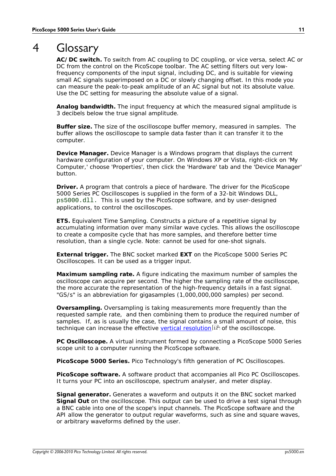### <span id="page-14-0"></span>4 Glossary

**AC/DC switch.** To switch from AC coupling to DC coupling, or vice versa, select AC or DC from the control on the PicoScope toolbar. The AC setting filters out very lowfrequency components of the input signal, including DC, and is suitable for viewing small AC signals superimposed on a DC or slowly changing offset. In this mode you can measure the peak-to-peak amplitude of an AC signal but not its absolute value. Use the DC setting for measuring the absolute value of a signal.

<span id="page-14-4"></span>**Analog bandwidth.** The input frequency at which the measured signal amplitude is 3 decibels below the true signal amplitude.

<span id="page-14-6"></span>**Buffer size.** The size of the oscilloscope buffer memory, measured in samples. The buffer allows the oscilloscope to sample data faster than it can transfer it to the computer.

**Device Manager.** Device Manager is a Windows program that displays the current hardware configuration of your computer. On Windows XP or Vista, right-click on 'My Computer,' choose 'Properties', then click the 'Hardware' tab and the 'Device Manager' button.

**Driver.** A program that controls a piece of hardware. The driver for the PicoScope 5000 Series PC Oscilloscopes is supplied in the form of a 32-bit Windows DLL, ps5000.dll. This is used by the PicoScope software, and by user-designed applications, to control the oscilloscopes.

**ETS.** Equivalent Time Sampling. Constructs a picture of a repetitive signal by accumulating information over many similar wave cycles. This allows the oscilloscope to create a composite cycle that has more samples, and therefore better time resolution, than a single cycle. Note: cannot be used for one-shot signals.

<span id="page-14-3"></span>**External trigger.** The BNC socket marked **EXT** on the PicoScope 5000 Series PC Oscilloscopes. It can be used as a trigger input.

<span id="page-14-5"></span>**Maximum sampling rate.** A figure indicating the maximum number of samples the oscilloscope can acquire per second. The higher the sampling rate of the oscilloscope, the more accurate the representation of the high-frequency details in a fast signal. "GS/s" is an abbreviation for gigasamples (1,000,000,000 samples) per second.

<span id="page-14-7"></span>**Oversampling.** Oversampling is taking measurements more frequently than the requested sample rate, and then combining them to produce the required number of samples. If, as is usually the case, the signal contains a small amount of noise, this technique can increase the effective <u>vertical resolution</u>|12 of the oscilloscope.

**PC Oscilloscope.** A virtual instrument formed by connecting a PicoScope 5000 Series scope unit to a computer running the PicoScope software.

<span id="page-14-1"></span>**PicoScope 5000 Series.** Pico Technology's fifth generation of PC Oscilloscopes.

<span id="page-14-2"></span>**PicoScope software.** A software product that accompanies all Pico PC Oscilloscopes. It turns your PC into an oscilloscope, spectrum analyser, and meter display.

**Signal generator.** Generates a waveform and outputs it on the BNC socket marked **Signal Out** on the oscilloscope. This output can be used to drive a test signal through a BNC cable into one of the scope's input channels. The PicoScope software and the API allow the generator to output regular waveforms, such as sine and square waves, or arbitrary waveforms defined by the user.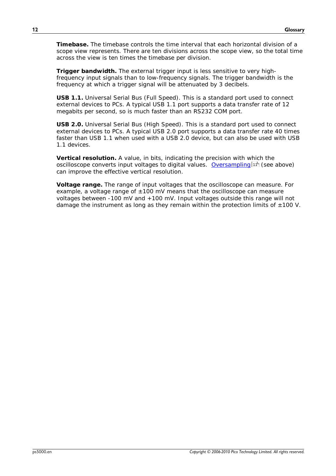**Timebase.** The timebase controls the time interval that each horizontal division of a scope view represents. There are ten divisions across the scope view, so the total time across the view is ten times the timebase per division.

**Trigger bandwidth.** The external trigger input is less sensitive to very highfrequency input signals than to low-frequency signals. The trigger bandwidth is the frequency at which a trigger signal will be attenuated by 3 decibels.

**USB 1.1.** Universal Serial Bus (Full Speed). This is a standard port used to connect external devices to PCs. A typical USB 1.1 port supports a data transfer rate of 12 megabits per second, so is much faster than an RS232 COM port.

<span id="page-15-0"></span>**USB 2.0.** Universal Serial Bus (High Speed). This is a standard port used to connect external devices to PCs. A typical USB 2.0 port supports a data transfer rate 40 times faster than USB 1.1 when used with a USB 2.0 device, but can also be used with USB 1.1 devices.

<span id="page-15-1"></span>**Vertical resolution.** A value, in bits, indicating the precision with which the oscilloscope converts input voltages to digital values. <u>[Oversampling](#page-14-7)</u>|1<sup>A</sup> (see above) can improve the effective vertical resolution.

<span id="page-15-2"></span>**Voltage range.** The range of input voltages that the oscilloscope can measure. For example, a voltage range of  $\pm 100$  mV means that the oscilloscope can measure voltages between -100 mV and +100 mV. Input voltages outside this range will not damage the instrument as long as they remain within the protection limits of  $\pm 100$  V.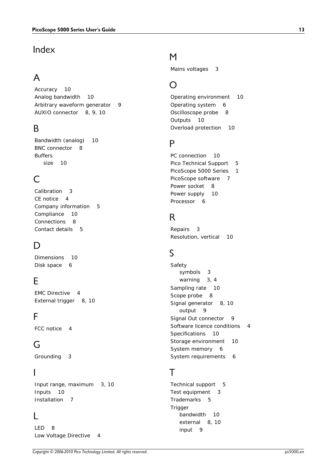### Index

# A

Accuracy 10 Analog bandwidth 10 Arbitrary waveform generator 9 AUXIO connector 8, 9, 10

### B<sub>a</sub>

Bandwidth (analog) 10 BNC connector 8 Buffers size 10

### C

Calibration 3 CE notice 4 Company information 5 Compliance 10 Connections 8 Contact details 5

# D<sub>a</sub>

Dimensions 10 Disk space 6

### E

EMC Directive 4 External trigger 8, 10

### F<sub>rank</sub>

FCC notice 4

### G

Grounding 3

#### I

Input range, maximum 3, 10 Inputs 10 Installation 7

### L

LED 8 Low Voltage Directive 4

### M

Mains voltages 3

### O

Operating environment 10 Operating system 6 Oscilloscope probe 8 Outputs 10 Overload protection 10

### P<sub>p</sub>

PC connection 10 Pico Technical Support 5 PicoScope 5000 Series 1 PicoScope software 7 Power socket 8 Power supply 10 Processor 6

### R<sub>a</sub>

Repairs 3 Resolution, vertical 10

### S

Safety symbols 3 warning 3, 4 Sampling rate 10 Scope probe 8 Signal generator 8, 10 output 9 Signal Out connector 9 Software licence conditions 4 Specifications 10 Storage environment 10 System memory 6 System requirements 6

### T<sub>a</sub>

Technical support 5 Test equipment 3 Trademarks 5 **Trigger** bandwidth 10 external 8, 10 input 9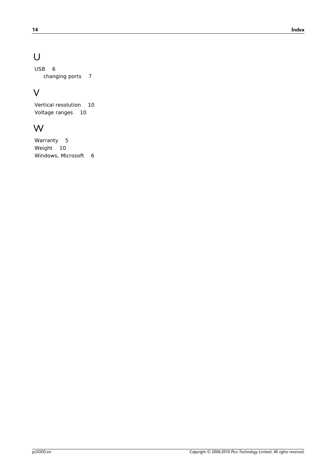# U

USB 6 changing ports 7

### V

Vertical resolution 10 Voltage ranges 10

### W

Warranty 5 Weight 10 Windows, Microsoft 6